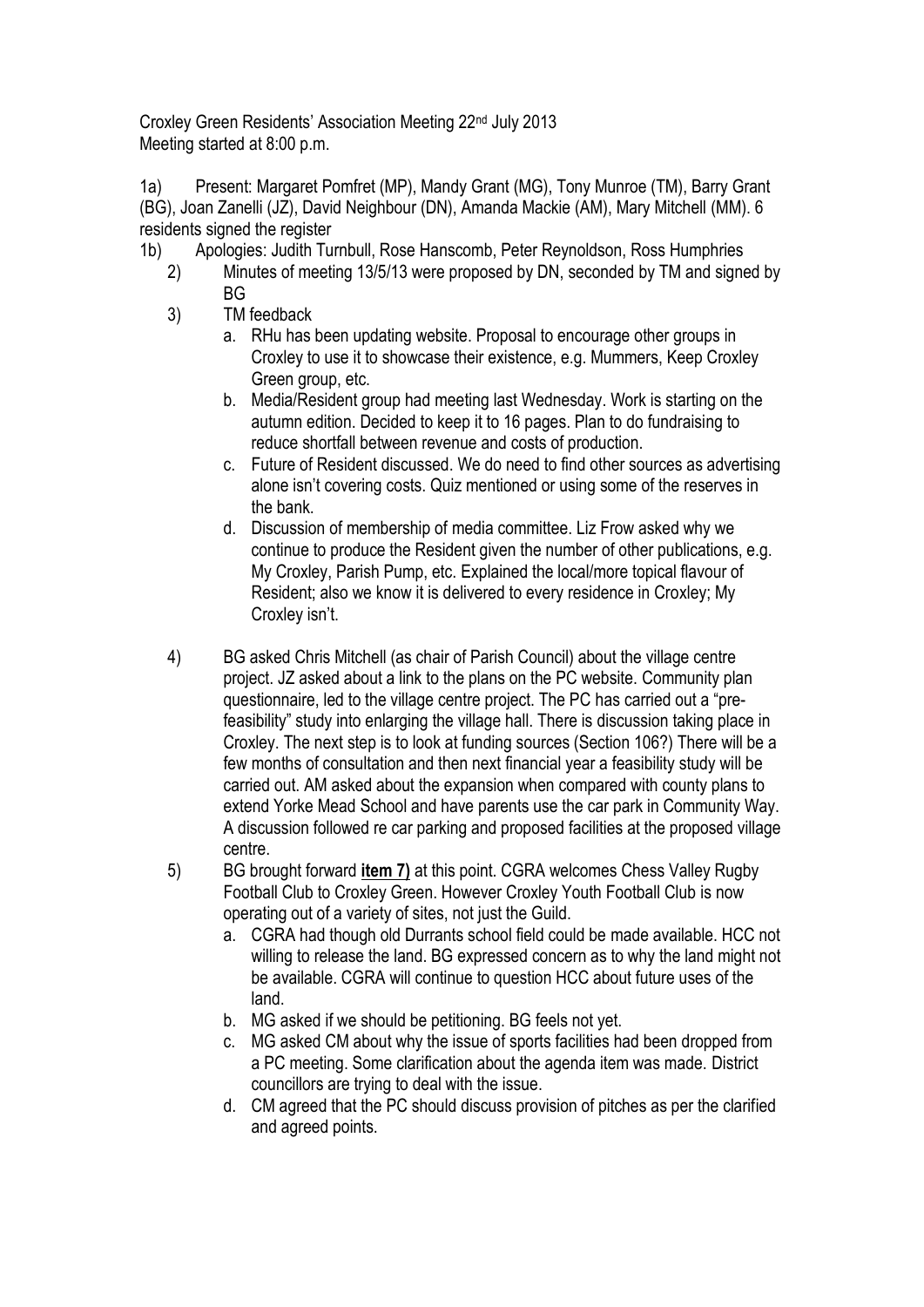Croxley Green Residents' Association Meeting 22nd July 2013 Meeting started at 8:00 p.m.

1a) Present: Margaret Pomfret (MP), Mandy Grant (MG), Tony Munroe (TM), Barry Grant (BG), Joan Zanelli (JZ), David Neighbour (DN), Amanda Mackie (AM), Mary Mitchell (MM). 6 residents signed the register

- 1b) Apologies: Judith Turnbull, Rose Hanscomb, Peter Reynoldson, Ross Humphries
	- 2) Minutes of meeting 13/5/13 were proposed by DN, seconded by TM and signed by BG
	- 3) TM feedback
		- a. RHu has been updating website. Proposal to encourage other groups in Croxley to use it to showcase their existence, e.g. Mummers, Keep Croxley Green group, etc.
		- b. Media/Resident group had meeting last Wednesday. Work is starting on the autumn edition. Decided to keep it to 16 pages. Plan to do fundraising to reduce shortfall between revenue and costs of production.
		- c. Future of Resident discussed. We do need to find other sources as advertising alone isn't covering costs. Quiz mentioned or using some of the reserves in the bank.
		- d. Discussion of membership of media committee. Liz Frow asked why we continue to produce the Resident given the number of other publications, e.g. My Croxley, Parish Pump, etc. Explained the local/more topical flavour of Resident; also we know it is delivered to every residence in Croxley; My Croxley isn't.
	- 4) BG asked Chris Mitchell (as chair of Parish Council) about the village centre project. JZ asked about a link to the plans on the PC website. Community plan questionnaire, led to the village centre project. The PC has carried out a "prefeasibility" study into enlarging the village hall. There is discussion taking place in Croxley. The next step is to look at funding sources (Section 106?) There will be a few months of consultation and then next financial year a feasibility study will be carried out. AM asked about the expansion when compared with county plans to extend Yorke Mead School and have parents use the car park in Community Way. A discussion followed re car parking and proposed facilities at the proposed village centre.
	- 5) BG brought forward **item 7)** at this point. CGRA welcomes Chess Valley Rugby Football Club to Croxley Green. However Croxley Youth Football Club is now operating out of a variety of sites, not just the Guild.
		- a. CGRA had though old Durrants school field could be made available. HCC not willing to release the land. BG expressed concern as to why the land might not be available. CGRA will continue to question HCC about future uses of the land.
		- b. MG asked if we should be petitioning. BG feels not yet.
		- c. MG asked CM about why the issue of sports facilities had been dropped from a PC meeting. Some clarification about the agenda item was made. District councillors are trying to deal with the issue.
		- d. CM agreed that the PC should discuss provision of pitches as per the clarified and agreed points.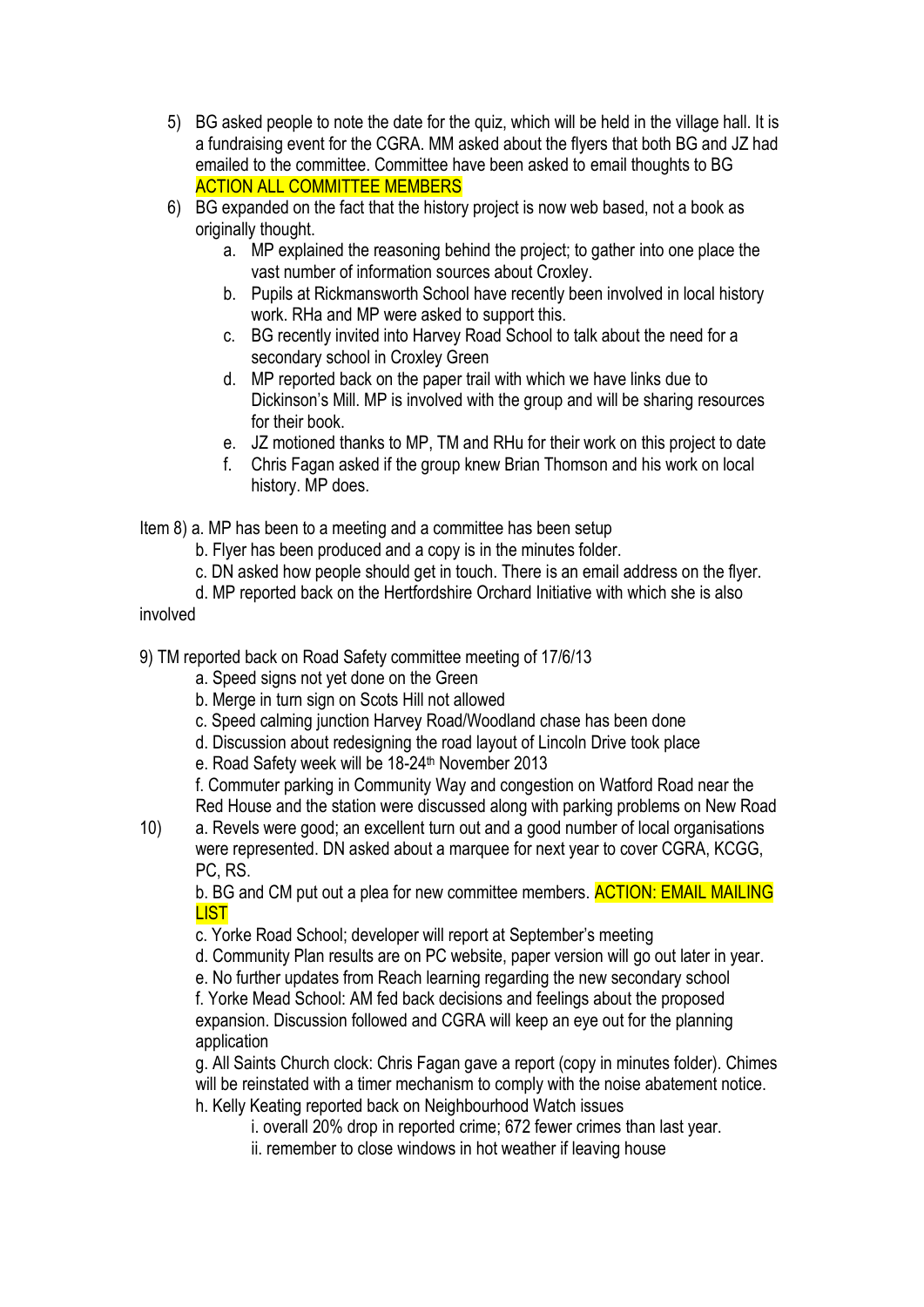- 5) BG asked people to note the date for the quiz, which will be held in the village hall. It is a fundraising event for the CGRA. MM asked about the flyers that both BG and JZ had emailed to the committee. Committee have been asked to email thoughts to BG ACTION ALL COMMITTEE MEMBERS
- 6) BG expanded on the fact that the history project is now web based, not a book as originally thought.
	- a. MP explained the reasoning behind the project; to gather into one place the vast number of information sources about Croxley.
	- b. Pupils at Rickmansworth School have recently been involved in local history work. RHa and MP were asked to support this.
	- c. BG recently invited into Harvey Road School to talk about the need for a secondary school in Croxley Green
	- d. MP reported back on the paper trail with which we have links due to Dickinson's Mill. MP is involved with the group and will be sharing resources for their book.
	- e. JZ motioned thanks to MP, TM and RHu for their work on this project to date
	- f. Chris Fagan asked if the group knew Brian Thomson and his work on local history. MP does.

Item 8) a. MP has been to a meeting and a committee has been setup

- b. Flyer has been produced and a copy is in the minutes folder.
- c. DN asked how people should get in touch. There is an email address on the flyer.
- d. MP reported back on the Hertfordshire Orchard Initiative with which she is also

involved

- 9) TM reported back on Road Safety committee meeting of 17/6/13
	- a. Speed signs not yet done on the Green
	- b. Merge in turn sign on Scots Hill not allowed
	- c. Speed calming junction Harvey Road/Woodland chase has been done
	- d. Discussion about redesigning the road layout of Lincoln Drive took place
	- e. Road Safety week will be 18-24<sup>th</sup> November 2013

f. Commuter parking in Community Way and congestion on Watford Road near the Red House and the station were discussed along with parking problems on New Road

10) a. Revels were good; an excellent turn out and a good number of local organisations were represented. DN asked about a marquee for next year to cover CGRA, KCGG, PC, RS.

b. BG and CM put out a plea for new committee members. **ACTION: EMAIL MAILING LIST** 

- c. Yorke Road School; developer will report at September's meeting
- d. Community Plan results are on PC website, paper version will go out later in year.
- e. No further updates from Reach learning regarding the new secondary school

f. Yorke Mead School: AM fed back decisions and feelings about the proposed expansion. Discussion followed and CGRA will keep an eye out for the planning application

g. All Saints Church clock: Chris Fagan gave a report (copy in minutes folder). Chimes will be reinstated with a timer mechanism to comply with the noise abatement notice. h. Kelly Keating reported back on Neighbourhood Watch issues

i. overall 20% drop in reported crime; 672 fewer crimes than last year.

ii. remember to close windows in hot weather if leaving house